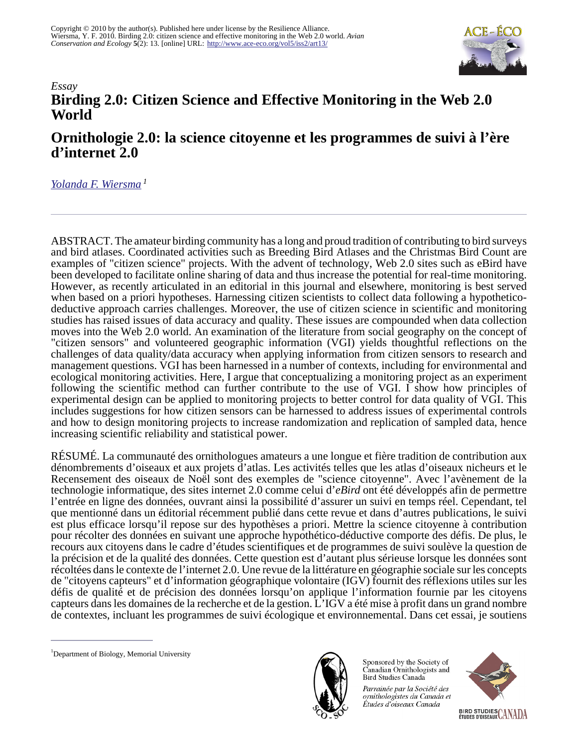

## *Essay* **Birding 2.0: Citizen Science and Effective Monitoring in the Web 2.0 World**

# **Ornithologie 2.0: la science citoyenne et les programmes de suivi à l'ère d'internet 2.0**

*[Yolanda F. Wiersma](mailto:ywiersma@mun.ca)<sup>1</sup>*

ABSTRACT. The amateur birding community has a long and proud tradition of contributing to bird surveys and bird atlases. Coordinated activities such as Breeding Bird Atlases and the Christmas Bird Count are examples of "citizen science" projects. With the advent of technology, Web 2.0 sites such as eBird have been developed to facilitate online sharing of data and thus increase the potential for real-time monitoring. However, as recently articulated in an editorial in this journal and elsewhere, monitoring is best served when based on a priori hypotheses. Harnessing citizen scientists to collect data following a hypotheticodeductive approach carries challenges. Moreover, the use of citizen science in scientific and monitoring studies has raised issues of data accuracy and quality. These issues are compounded when data collection moves into the Web 2.0 world. An examination of the literature from social geography on the concept of "citizen sensors" and volunteered geographic information (VGI) yields thoughtful reflections on the challenges of data quality/data accuracy when applying information from citizen sensors to research and management questions. VGI has been harnessed in a number of contexts, including for environmental and ecological monitoring activities. Here, I argue that conceptualizing a monitoring project as an experiment following the scientific method can further contribute to the use of VGI. I show how principles of experimental design can be applied to monitoring projects to better control for data quality of VGI. This includes suggestions for how citizen sensors can be harnessed to address issues of experimental controls and how to design monitoring projects to increase randomization and replication of sampled data, hence increasing scientific reliability and statistical power.

RÉSUMÉ. La communauté des ornithologues amateurs a une longue et fière tradition de contribution aux dénombrements d'oiseaux et aux projets d'atlas. Les activités telles que les atlas d'oiseaux nicheurs et le Recensement des oiseaux de Noël sont des exemples de "science citoyenne". Avec l'avènement de la technologie informatique, des sites internet 2.0 comme celui d'*eBird* ont été développés afin de permettre l'entrée en ligne des données, ouvrant ainsi la possibilité d'assurer un suivi en temps réel. Cependant, tel que mentionné dans un éditorial récemment publié dans cette revue et dans d'autres publications, le suivi est plus efficace lorsqu'il repose sur des hypothèses a priori. Mettre la science citoyenne à contribution pour récolter des données en suivant une approche hypothético-déductive comporte des défis. De plus, le recours aux citoyens dans le cadre d'études scientifiques et de programmes de suivi soulève la question de la précision et de la qualité des données. Cette question est d'autant plus sérieuse lorsque les données sont récoltées dans le contexte de l'internet 2.0. Une revue de la littérature en géographie sociale sur les concepts de "citoyens capteurs" et d'information géographique volontaire (IGV) fournit des réflexions utiles sur les défis de qualité et de précision des données lorsqu'on applique l'information fournie par les citoyens capteurs dans les domaines de la recherche et de la gestion. L'IGV a été mise à profit dans un grand nombre de contextes, incluant les programmes de suivi écologique et environnemental. Dans cet essai, je soutiens



Sponsored by the Society of Canadian Ornithologists and Bird Studies Canada

Parrainée par la Société des ornithologistes du Canada et Études d'oiseaux Canada



<sup>&</sup>lt;sup>1</sup>Department of Biology, Memorial University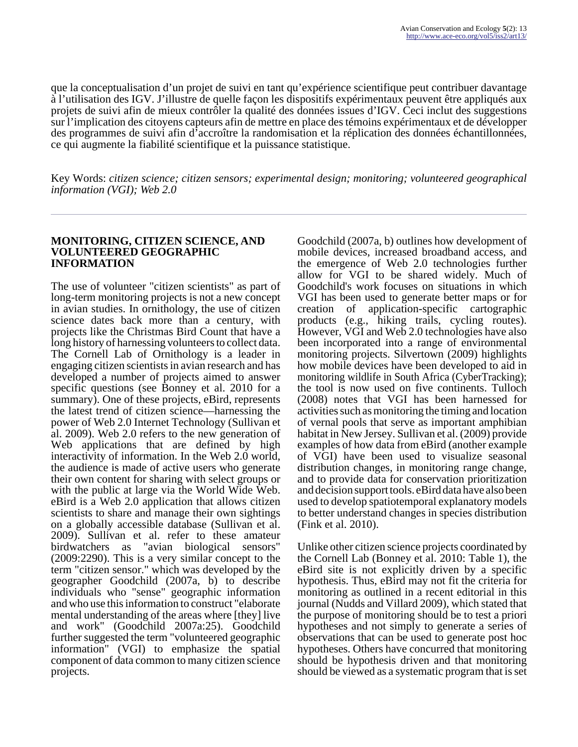que la conceptualisation d'un projet de suivi en tant qu'expérience scientifique peut contribuer davantage à l'utilisation des IGV. J'illustre de quelle façon les dispositifs expérimentaux peuvent être appliqués aux projets de suivi afin de mieux contrôler la qualité des données issues d'IGV. Ceci inclut des suggestions sur l'implication des citoyens capteurs afin de mettre en place des témoins expérimentaux et de développer des programmes de suivi afin d'accroître la randomisation et la réplication des données échantillonnées, ce qui augmente la fiabilité scientifique et la puissance statistique.

Key Words: *citizen science; citizen sensors; experimental design; monitoring; volunteered geographical information (VGI); Web 2.0*

#### **MONITORING, CITIZEN SCIENCE, AND VOLUNTEERED GEOGRAPHIC INFORMATION**

The use of volunteer "citizen scientists" as part of long-term monitoring projects is not a new concept in avian studies. In ornithology, the use of citizen science dates back more than a century, with projects like the Christmas Bird Count that have a long history of harnessing volunteers to collect data. The Cornell Lab of Ornithology is a leader in engaging citizen scientists in avian research and has developed a number of projects aimed to answer specific questions (see Bonney et al. 2010 for a summary). One of these projects, eBird, represents the latest trend of citizen science—harnessing the power of Web 2.0 Internet Technology (Sullivan et al. 2009). Web 2.0 refers to the new generation of Web applications that are defined by high interactivity of information. In the Web 2.0 world, the audience is made of active users who generate their own content for sharing with select groups or with the public at large via the World Wide Web. eBird is a Web 2.0 application that allows citizen scientists to share and manage their own sightings on a globally accessible database (Sullivan et al. 2009). Sullivan et al. refer to these amateur birdwatchers as "avian biological sensors" (2009:2290). This is a very similar concept to the term "citizen sensor." which was developed by the geographer Goodchild (2007a, b) to describe individuals who "sense" geographic information and who use this information to construct "elaborate mental understanding of the areas where [they] live and work" (Goodchild 2007a:25). Goodchild further suggested the term "volunteered geographic information" (VGI) to emphasize the spatial component of data common to many citizen science projects.

Goodchild (2007a, b) outlines how development of mobile devices, increased broadband access, and the emergence of Web 2.0 technologies further allow for VGI to be shared widely. Much of Goodchild's work focuses on situations in which VGI has been used to generate better maps or for creation of application-specific cartographic products (e.g., hiking trails, cycling routes). However, VGI and Web 2.0 technologies have also been incorporated into a range of environmental monitoring projects. Silvertown (2009) highlights how mobile devices have been developed to aid in monitoring wildlife in South Africa (CyberTracking); the tool is now used on five continents. Tulloch (2008) notes that VGI has been harnessed for activities such as monitoring the timing and location of vernal pools that serve as important amphibian habitat in New Jersey. Sullivan et al. (2009) provide examples of how data from eBird (another example of VGI) have been used to visualize seasonal distribution changes, in monitoring range change, and to provide data for conservation prioritization and decision support tools. eBird data have also been used to develop spatiotemporal explanatory models to better understand changes in species distribution (Fink et al. 2010).

Unlike other citizen science projects coordinated by the Cornell Lab (Bonney et al. 2010: Table 1), the eBird site is not explicitly driven by a specific hypothesis. Thus, eBird may not fit the criteria for monitoring as outlined in a recent editorial in this journal (Nudds and Villard 2009), which stated that the purpose of monitoring should be to test a priori hypotheses and not simply to generate a series of observations that can be used to generate post hoc hypotheses. Others have concurred that monitoring should be hypothesis driven and that monitoring should be viewed as a systematic program that is set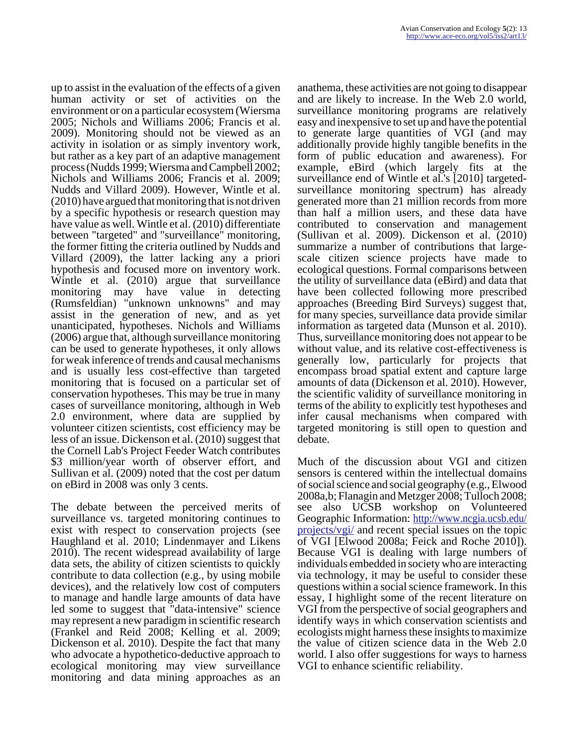up to assist in the evaluation of the effects of a given human activity or set of activities on the environment or on a particular ecosystem (Wiersma 2005; Nichols and Williams 2006; Francis et al. 2009). Monitoring should not be viewed as an activity in isolation or as simply inventory work, but rather as a key part of an adaptive management process (Nudds 1999; Wiersma and Campbell 2002; Nichols and Williams 2006; Francis et al. 2009; Nudds and Villard 2009). However, Wintle et al. (2010) have argued that monitoring that is not driven by a specific hypothesis or research question may have value as well. Wintle et al. (2010) differentiate between "targeted" and "surveillance" monitoring, the former fitting the criteria outlined by Nudds and Villard (2009), the latter lacking any a priori hypothesis and focused more on inventory work. Wintle et al. (2010) argue that surveillance monitoring may have value in detecting (Rumsfeldian) "unknown unknowns" and may assist in the generation of new, and as yet unanticipated, hypotheses. Nichols and Williams (2006) argue that, although surveillance monitoring can be used to generate hypotheses, it only allows for weak inference of trends and causal mechanisms and is usually less cost-effective than targeted monitoring that is focused on a particular set of conservation hypotheses. This may be true in many cases of surveillance monitoring, although in Web 2.0 environment, where data are supplied by volunteer citizen scientists, cost efficiency may be less of an issue. Dickenson et al. (2010) suggest that the Cornell Lab's Project Feeder Watch contributes \$3 million/year worth of observer effort, and Sullivan et al. (2009) noted that the cost per datum on eBird in 2008 was only 3 cents.

The debate between the perceived merits of surveillance vs. targeted monitoring continues to exist with respect to conservation projects (see Haughland et al. 2010; Lindenmayer and Likens 2010). The recent widespread availability of large data sets, the ability of citizen scientists to quickly contribute to data collection (e.g., by using mobile devices), and the relatively low cost of computers to manage and handle large amounts of data have led some to suggest that "data-intensive" science may represent a new paradigm in scientific research (Frankel and Reid 2008; Kelling et al. 2009; Dickenson et al. 2010). Despite the fact that many who advocate a hypothetico-deductive approach to ecological monitoring may view surveillance monitoring and data mining approaches as an

anathema, these activities are not going to disappear and are likely to increase. In the Web 2.0 world, surveillance monitoring programs are relatively easy and inexpensive to set up and have the potential to generate large quantities of VGI (and may additionally provide highly tangible benefits in the form of public education and awareness). For example, eBird (which largely fits at the surveillance end of Wintle et al.'s [2010] targetedsurveillance monitoring spectrum) has already generated more than 21 million records from more than half a million users, and these data have contributed to conservation and management (Sullivan et al. 2009). Dickenson et al. (2010) summarize a number of contributions that largescale citizen science projects have made to ecological questions. Formal comparisons between the utility of surveillance data (eBird) and data that have been collected following more prescribed approaches (Breeding Bird Surveys) suggest that, for many species, surveillance data provide similar information as targeted data (Munson et al. 2010). Thus, surveillance monitoring does not appear to be without value, and its relative cost-effectiveness is generally low, particularly for projects that encompass broad spatial extent and capture large amounts of data (Dickenson et al. 2010). However, the scientific validity of surveillance monitoring in terms of the ability to explicitly test hypotheses and infer causal mechanisms when compared with targeted monitoring is still open to question and debate.

Much of the discussion about VGI and citizen sensors is centered within the intellectual domains of social science and social geography (e.g., Elwood 2008a,b; Flanagin and Metzger 2008; Tulloch 2008; see also UCSB workshop on Volunteered Geographic Information: [http://www.ncgia.ucsb.edu/](http://www.ncgia.ucsb.edu/projects/vgi/) [projects/vgi/](http://www.ncgia.ucsb.edu/projects/vgi/) and recent special issues on the topic of VGI [Elwood 2008a; Feick and Roche 2010]). Because VGI is dealing with large numbers of individuals embedded in society who are interacting via technology, it may be useful to consider these questions within a social science framework. In this essay, I highlight some of the recent literature on VGI from the perspective of social geographers and identify ways in which conservation scientists and ecologists might harness these insights to maximize the value of citizen science data in the Web 2.0 world. I also offer suggestions for ways to harness VGI to enhance scientific reliability.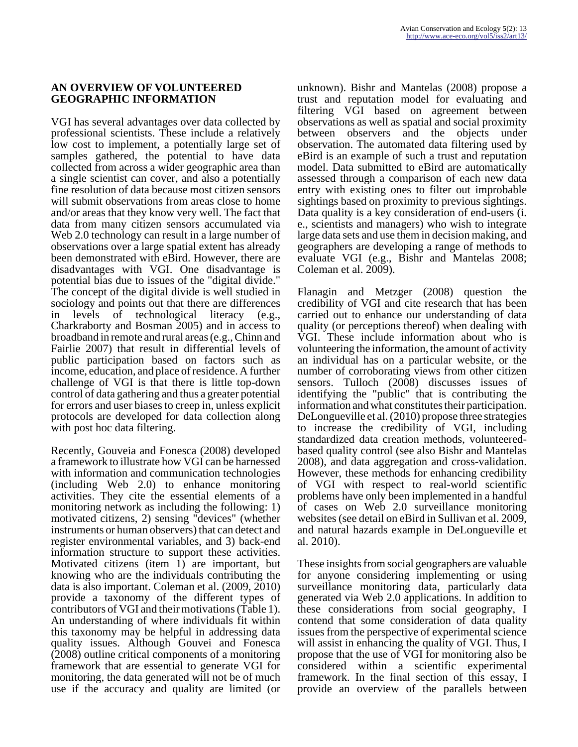#### **AN OVERVIEW OF VOLUNTEERED GEOGRAPHIC INFORMATION**

VGI has several advantages over data collected by professional scientists. These include a relatively low cost to implement, a potentially large set of samples gathered, the potential to have data collected from across a wider geographic area than a single scientist can cover, and also a potentially fine resolution of data because most citizen sensors will submit observations from areas close to home and/or areas that they know very well. The fact that data from many citizen sensors accumulated via Web 2.0 technology can result in a large number of observations over a large spatial extent has already been demonstrated with eBird. However, there are disadvantages with VGI. One disadvantage is potential bias due to issues of the "digital divide." The concept of the digital divide is well studied in sociology and points out that there are differences in levels of technological literacy (e.g., Charkraborty and Bosman 2005) and in access to broadband in remote and rural areas (e.g., Chinn and Fairlie 2007) that result in differential levels of public participation based on factors such as income, education, and place of residence. A further challenge of VGI is that there is little top-down control of data gathering and thus a greater potential for errors and user biases to creep in, unless explicit protocols are developed for data collection along with post hoc data filtering.

Recently, Gouveia and Fonesca (2008) developed a framework to illustrate how VGI can be harnessed with information and communication technologies (including Web 2.0) to enhance monitoring activities. They cite the essential elements of a monitoring network as including the following: 1) motivated citizens, 2) sensing "devices" (whether instruments or human observers) that can detect and register environmental variables, and 3) back-end information structure to support these activities. Motivated citizens (item 1) are important, but knowing who are the individuals contributing the data is also important. Coleman et al. (2009, 2010) provide a taxonomy of the different types of contributors of VGI and their motivations (Table 1). An understanding of where individuals fit within this taxonomy may be helpful in addressing data quality issues. Although Gouvei and Fonesca (2008) outline critical components of a monitoring framework that are essential to generate VGI for monitoring, the data generated will not be of much use if the accuracy and quality are limited (or

unknown). Bishr and Mantelas (2008) propose a trust and reputation model for evaluating and filtering VGI based on agreement between observations as well as spatial and social proximity between observers and the objects under observation. The automated data filtering used by eBird is an example of such a trust and reputation model. Data submitted to eBird are automatically assessed through a comparison of each new data entry with existing ones to filter out improbable sightings based on proximity to previous sightings. Data quality is a key consideration of end-users (i. e., scientists and managers) who wish to integrate large data sets and use them in decision making, and geographers are developing a range of methods to evaluate VGI (e.g., Bishr and Mantelas 2008; Coleman et al. 2009).

Flanagin and Metzger (2008) question the credibility of VGI and cite research that has been carried out to enhance our understanding of data quality (or perceptions thereof) when dealing with VGI. These include information about who is volunteering the information, the amount of activity an individual has on a particular website, or the number of corroborating views from other citizen sensors. Tulloch (2008) discusses issues of identifying the "public" that is contributing the information and what constitutes their participation. DeLongueville et al. (2010) propose three strategies to increase the credibility of VGI, including standardized data creation methods, volunteeredbased quality control (see also Bishr and Mantelas 2008), and data aggregation and cross-validation. However, these methods for enhancing credibility of VGI with respect to real-world scientific problems have only been implemented in a handful of cases on Web 2.0 surveillance monitoring websites (see detail on eBird in Sullivan et al. 2009, and natural hazards example in DeLongueville et al. 2010).

These insights from social geographers are valuable for anyone considering implementing or using surveillance monitoring data, particularly data generated via Web 2.0 applications. In addition to these considerations from social geography, I contend that some consideration of data quality issues from the perspective of experimental science will assist in enhancing the quality of VGI. Thus, I propose that the use of VGI for monitoring also be considered within a scientific experimental framework. In the final section of this essay, I provide an overview of the parallels between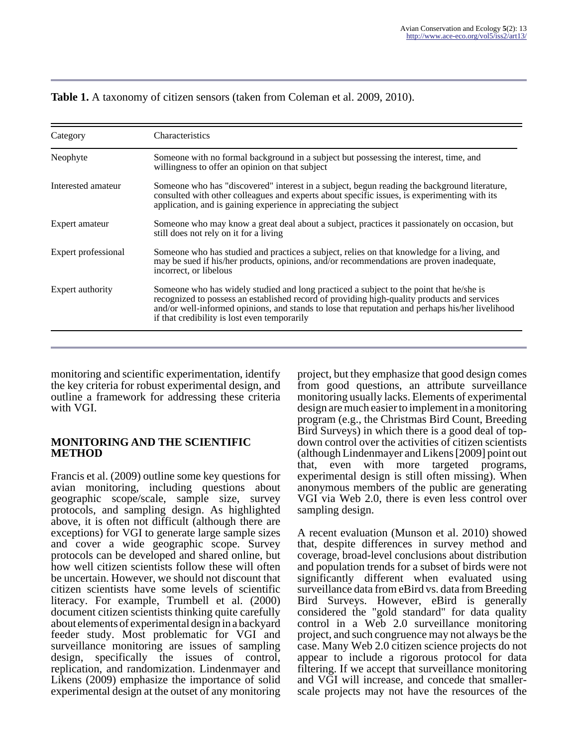| Category            | Characteristics                                                                                                                                                                                                                                                                                                                            |
|---------------------|--------------------------------------------------------------------------------------------------------------------------------------------------------------------------------------------------------------------------------------------------------------------------------------------------------------------------------------------|
| Neophyte            | Someone with no formal background in a subject but possessing the interest, time, and<br>willingness to offer an opinion on that subject                                                                                                                                                                                                   |
| Interested amateur  | Someone who has "discovered" interest in a subject, begun reading the background literature,<br>consulted with other colleagues and experts about specific issues, is experimenting with its<br>application, and is gaining experience in appreciating the subject                                                                         |
| Expert amateur      | Someone who may know a great deal about a subject, practices it passionately on occasion, but<br>still does not rely on it for a living                                                                                                                                                                                                    |
| Expert professional | Someone who has studied and practices a subject, relies on that knowledge for a living, and<br>may be sued if his/her products, opinions, and/or recommendations are proven inadequate,<br>incorrect, or libelous                                                                                                                          |
| Expert authority    | Someone who has widely studied and long practiced a subject to the point that he/she is<br>recognized to possess an established record of providing high-quality products and services<br>and/or well-informed opinions, and stands to lose that reputation and perhaps his/her livelihood<br>if that credibility is lost even temporarily |

## **Table 1.** A taxonomy of citizen sensors (taken from Coleman et al. 2009, 2010).

monitoring and scientific experimentation, identify the key criteria for robust experimental design, and outline a framework for addressing these criteria with VGI.

#### **MONITORING AND THE SCIENTIFIC METHOD**

Francis et al. (2009) outline some key questions for avian monitoring, including questions about geographic scope/scale, sample size, survey protocols, and sampling design. As highlighted above, it is often not difficult (although there are exceptions) for VGI to generate large sample sizes and cover a wide geographic scope. Survey protocols can be developed and shared online, but how well citizen scientists follow these will often be uncertain. However, we should not discount that citizen scientists have some levels of scientific literacy. For example, Trumbell et al. (2000) document citizen scientists thinking quite carefully about elements of experimental design in a backyard feeder study. Most problematic for VGI and surveillance monitoring are issues of sampling design, specifically the issues of control, replication, and randomization. Lindenmayer and Likens (2009) emphasize the importance of solid experimental design at the outset of any monitoring

project, but they emphasize that good design comes from good questions, an attribute surveillance monitoring usually lacks. Elements of experimental design are much easier to implement in a monitoring program (e.g., the Christmas Bird Count, Breeding Bird Surveys) in which there is a good deal of topdown control over the activities of citizen scientists (although Lindenmayer and Likens [2009] point out that, even with more targeted programs, experimental design is still often missing). When anonymous members of the public are generating VGI via Web 2.0, there is even less control over sampling design.

A recent evaluation (Munson et al. 2010) showed that, despite differences in survey method and coverage, broad-level conclusions about distribution and population trends for a subset of birds were not significantly different when evaluated using surveillance data from eBird vs. data from Breeding Bird Surveys. However, eBird is generally considered the "gold standard" for data quality control in a Web 2.0 surveillance monitoring project, and such congruence may not always be the case. Many Web 2.0 citizen science projects do not appear to include a rigorous protocol for data filtering. If we accept that surveillance monitoring and VGI will increase, and concede that smallerscale projects may not have the resources of the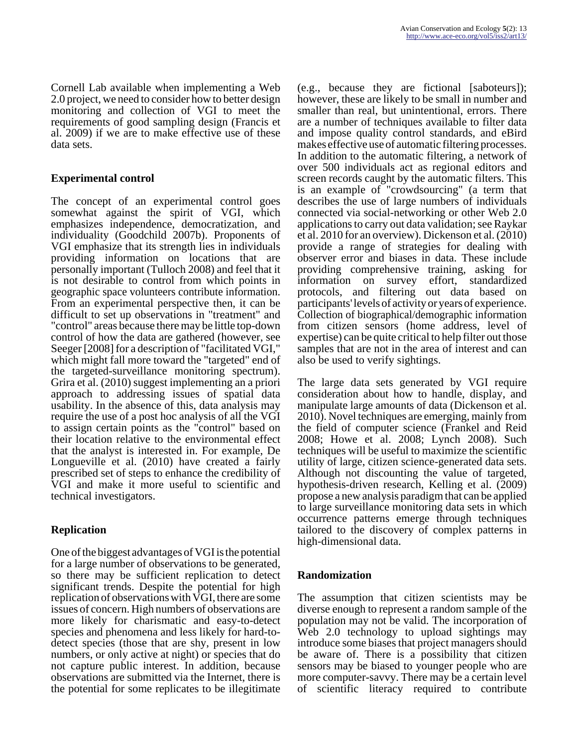Cornell Lab available when implementing a Web 2.0 project, we need to consider how to better design monitoring and collection of VGI to meet the requirements of good sampling design (Francis et al. 2009) if we are to make effective use of these data sets.

## **Experimental control**

The concept of an experimental control goes somewhat against the spirit of VGI, which emphasizes independence, democratization, and individuality (Goodchild 2007b). Proponents of VGI emphasize that its strength lies in individuals providing information on locations that are personally important (Tulloch 2008) and feel that it is not desirable to control from which points in geographic space volunteers contribute information. From an experimental perspective then, it can be difficult to set up observations in "treatment" and "control" areas because there may be little top-down control of how the data are gathered (however, see Seeger [2008] for a description of "facilitated VGI," which might fall more toward the "targeted" end of the targeted-surveillance monitoring spectrum). Grira et al. (2010) suggest implementing an a priori approach to addressing issues of spatial data usability. In the absence of this, data analysis may require the use of a post hoc analysis of all the VGI to assign certain points as the "control" based on their location relative to the environmental effect that the analyst is interested in. For example, De Longueville et al. (2010) have created a fairly prescribed set of steps to enhance the credibility of VGI and make it more useful to scientific and technical investigators.

## **Replication**

One of the biggest advantages of VGI is the potential for a large number of observations to be generated, so there may be sufficient replication to detect significant trends. Despite the potential for high replication of observations with VGI, there are some issues of concern. High numbers of observations are more likely for charismatic and easy-to-detect species and phenomena and less likely for hard-todetect species (those that are shy, present in low numbers, or only active at night) or species that do not capture public interest. In addition, because observations are submitted via the Internet, there is the potential for some replicates to be illegitimate

(e.g., because they are fictional [saboteurs]); however, these are likely to be small in number and smaller than real, but unintentional, errors. There are a number of techniques available to filter data and impose quality control standards, and eBird makes effective use of automatic filtering processes. In addition to the automatic filtering, a network of over 500 individuals act as regional editors and screen records caught by the automatic filters. This is an example of "crowdsourcing" (a term that describes the use of large numbers of individuals connected via social-networking or other Web 2.0 applications to carry out data validation; see Raykar et al. 2010 for an overview). Dickenson et al. (2010) provide a range of strategies for dealing with observer error and biases in data. These include providing comprehensive training, asking for<br>information on survey effort, standardized on survey effort, standardized protocols, and filtering out data based on participants' levels of activity or years of experience. Collection of biographical/demographic information from citizen sensors (home address, level of expertise) can be quite critical to help filter out those samples that are not in the area of interest and can also be used to verify sightings.

The large data sets generated by VGI require consideration about how to handle, display, and manipulate large amounts of data (Dickenson et al. 2010). Novel techniques are emerging, mainly from the field of computer science (Frankel and Reid 2008; Howe et al. 2008; Lynch 2008). Such techniques will be useful to maximize the scientific utility of large, citizen science-generated data sets. Although not discounting the value of targeted, hypothesis-driven research, Kelling et al. (2009) propose a new analysis paradigm that can be applied to large surveillance monitoring data sets in which occurrence patterns emerge through techniques tailored to the discovery of complex patterns in high-dimensional data.

## **Randomization**

The assumption that citizen scientists may be diverse enough to represent a random sample of the population may not be valid. The incorporation of Web 2.0 technology to upload sightings may introduce some biases that project managers should be aware of. There is a possibility that citizen sensors may be biased to younger people who are more computer-savvy. There may be a certain level of scientific literacy required to contribute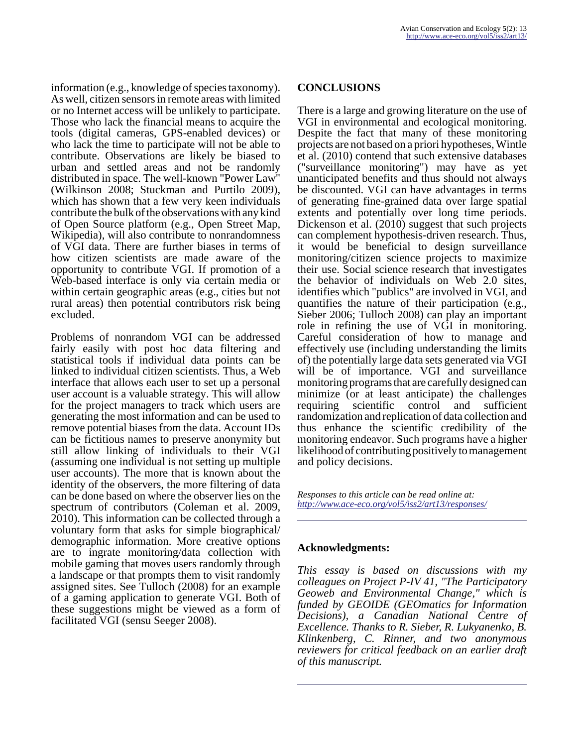information (e.g., knowledge of species taxonomy). As well, citizen sensors in remote areas with limited or no Internet access will be unlikely to participate. Those who lack the financial means to acquire the tools (digital cameras, GPS-enabled devices) or who lack the time to participate will not be able to contribute. Observations are likely be biased to urban and settled areas and not be randomly distributed in space. The well-known "Power Law" (Wilkinson 2008; Stuckman and Purtilo 2009), which has shown that a few very keen individuals contribute the bulk of the observations with any kind of Open Source platform (e.g., Open Street Map, Wikipedia), will also contribute to nonrandomness of VGI data. There are further biases in terms of how citizen scientists are made aware of the opportunity to contribute VGI. If promotion of a Web-based interface is only via certain media or within certain geographic areas (e.g., cities but not rural areas) then potential contributors risk being excluded.

Problems of nonrandom VGI can be addressed fairly easily with post hoc data filtering and statistical tools if individual data points can be linked to individual citizen scientists. Thus, a Web interface that allows each user to set up a personal user account is a valuable strategy. This will allow for the project managers to track which users are generating the most information and can be used to remove potential biases from the data. Account IDs can be fictitious names to preserve anonymity but still allow linking of individuals to their VGI (assuming one individual is not setting up multiple user accounts). The more that is known about the identity of the observers, the more filtering of data can be done based on where the observer lies on the spectrum of contributors (Coleman et al. 2009, 2010). This information can be collected through a voluntary form that asks for simple biographical/ demographic information. More creative options are to ingrate monitoring/data collection with mobile gaming that moves users randomly through a landscape or that prompts them to visit randomly assigned sites. See Tulloch (2008) for an example of a gaming application to generate VGI. Both of these suggestions might be viewed as a form of facilitated VGI (sensu Seeger 2008).

#### **CONCLUSIONS**

There is a large and growing literature on the use of VGI in environmental and ecological monitoring. Despite the fact that many of these monitoring projects are not based on a priori hypotheses, Wintle et al. (2010) contend that such extensive databases ("surveillance monitoring") may have as yet unanticipated benefits and thus should not always be discounted. VGI can have advantages in terms of generating fine-grained data over large spatial extents and potentially over long time periods. Dickenson et al. (2010) suggest that such projects can complement hypothesis-driven research. Thus, it would be beneficial to design surveillance monitoring/citizen science projects to maximize their use. Social science research that investigates the behavior of individuals on Web 2.0 sites, identifies which "publics" are involved in VGI, and quantifies the nature of their participation (e.g., Sieber 2006; Tulloch 2008) can play an important role in refining the use of VGI in monitoring. Careful consideration of how to manage and effectively use (including understanding the limits of) the potentially large data sets generated via VGI will be of importance. VGI and surveillance monitoring programs that are carefully designed can minimize (or at least anticipate) the challenges requiring scientific control and sufficient randomization and replication of data collection and thus enhance the scientific credibility of the monitoring endeavor. Such programs have a higher likelihood of contributing positively to management and policy decisions.

*Responses to this article can be read online at: <http://www.ace-eco.org/vol5/iss2/art13/responses/>*

#### **Acknowledgments:**

*This essay is based on discussions with my colleagues on Project P-IV 41, "The Participatory Geoweb and Environmental Change," which is funded by GEOIDE (GEOmatics for Information Decisions), a Canadian National Centre of Excellence. Thanks to R. Sieber, R. Lukyanenko, B. Klinkenberg, C. Rinner, and two anonymous reviewers for critical feedback on an earlier draft of this manuscript.*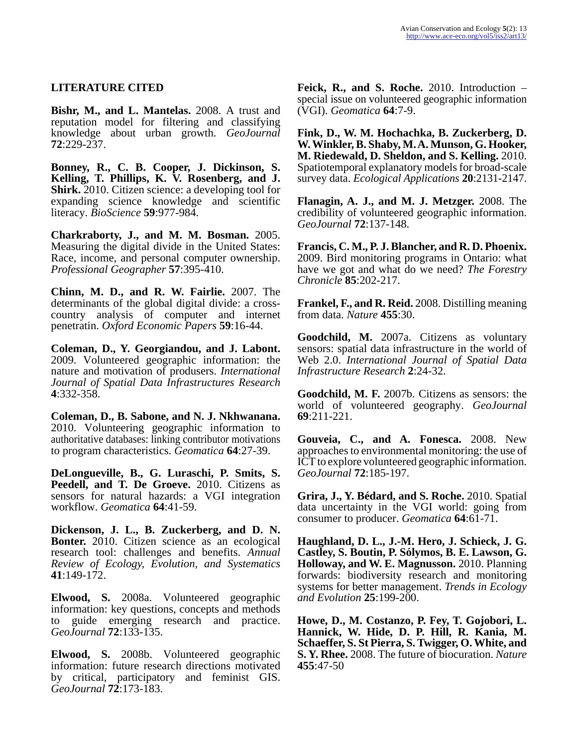### **LITERATURE CITED**

**Bishr, M., and L. Mantelas.** 2008. A trust and reputation model for filtering and classifying knowledge about urban growth. *GeoJournal* **72**:229-237.

**Bonney, R., C. B. Cooper, J. Dickinson, S. Kelling, T. Phillips, K. V. Rosenberg, and J. Shirk.** 2010. Citizen science: a developing tool for expanding science knowledge and scientific literacy. *BioScience* **59**:977-984.

**Charkraborty, J., and M. M. Bosman.** 2005. Measuring the digital divide in the United States: Race, income, and personal computer ownership. *Professional Geographer* **57**:395-410.

**Chinn, M. D., and R. W. Fairlie.** 2007. The determinants of the global digital divide: a crosscountry analysis of computer and internet penetratin. *Oxford Economic Papers* **59**:16-44.

**Coleman, D., Y. Georgiandou, and J. Labont.** 2009. Volunteered geographic information: the nature and motivation of produsers. *International Journal of Spatial Data Infrastructures Research* **4**:332-358.

**Coleman, D., B. Sabone, and N. J. Nkhwanana.** 2010. Volunteering geographic information to authoritative databases: linking contributor motivations to program characteristics. *Geomatica* **64**:27-39.

**DeLongueville, B., G. Luraschi, P. Smits, S. Peedell, and T. De Groeve.** 2010. Citizens as sensors for natural hazards: a VGI integration workflow. *Geomatica* **64**:41-59.

**Dickenson, J. L., B. Zuckerberg, and D. N. Bonter.** 2010. Citizen science as an ecological research tool: challenges and benefits. *Annual Review of Ecology, Evolution, and Systematics* **41**:149-172.

**Elwood, S.** 2008a. Volunteered geographic information: key questions, concepts and methods to guide emerging research and practice. *GeoJournal* **72**:133-135.

**Elwood, S.** 2008b. Volunteered geographic information: future research directions motivated by critical, participatory and feminist GIS. *GeoJournal* **72**:173-183.

**Feick, R., and S. Roche.** 2010. Introduction – special issue on volunteered geographic information (VGI). *Geomatica* **64**:7-9.

**Fink, D., W. M. Hochachka, B. Zuckerberg, D. W. Winkler, B. Shaby, M. A. Munson, G. Hooker, M. Riedewald, D. Sheldon, and S. Kelling.** 2010. Spatiotemporal explanatory models for broad-scale survey data. *Ecological Applications* **20**:2131-2147.

**Flanagin, A. J., and M. J. Metzger.** 2008. The credibility of volunteered geographic information. *GeoJournal* **72**:137-148.

**Francis, C. M., P. J. Blancher, and R. D. Phoenix.** 2009. Bird monitoring programs in Ontario: what have we got and what do we need? *The Forestry Chronicle* **85**:202-217.

**Frankel, F., and R. Reid.** 2008. Distilling meaning from data. *Nature* **455**:30.

**Goodchild, M.** 2007a. Citizens as voluntary sensors: spatial data infrastructure in the world of Web 2.0. *International Journal of Spatial Data Infrastructure Research* **2**:24-32.

**Goodchild, M. F.** 2007b. Citizens as sensors: the world of volunteered geography. *GeoJournal* **69**:211-221.

**Gouveia, C., and A. Fonesca.** 2008. New approaches to environmental monitoring: the use of ICT to explore volunteered geographic information. *GeoJournal* **72**:185-197.

**Grira, J., Y. Bédard, and S. Roche.** 2010. Spatial data uncertainty in the VGI world: going from consumer to producer. *Geomatica* **64**:61-71.

**Haughland, D. L., J.-M. Hero, J. Schieck, J. G. Castley, S. Boutin, P. Sólymos, B. E. Lawson, G. Holloway, and W. E. Magnusson.** 2010. Planning forwards: biodiversity research and monitoring systems for better management. *Trends in Ecology and Evolution* **25**:199-200.

**Howe, D., M. Costanzo, P. Fey, T. Gojobori, L. Hannick, W. Hide, D. P. Hill, R. Kania, M. Schaeffer, S. St Pierra, S. Twigger, O. White, and S. Y. Rhee.** 2008. The future of biocuration. *Nature* **455**:47-50